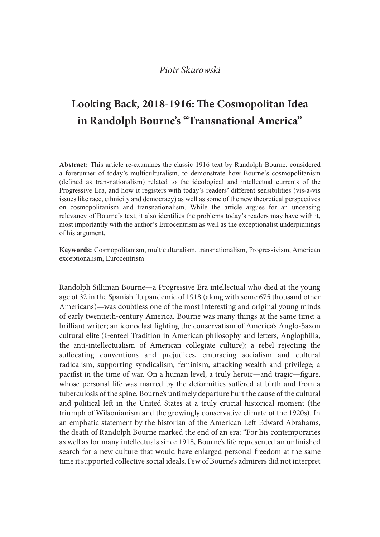# Looking Back, 2018-1916: The Cosmopolitan Idea in Randolph Bourne's "Transnational America"

**Example 12**<br> **Example 12**<br> **Example 120.6 1916: The Cosmopolitan Idea**<br> **in Randolph Bourne's "Transnational America"**<br> **Abstract:** This article re-examines the classic 1916 text by Randolph Bourne, considered<br> **Abstract:** *Piotr Skurowski*<br> **Looking Back, 2018-1916: The Cosmopolitan Idea**<br> **in Randolph Bourne's "Transnational America"**<br> **Abstract:** This article re-examines the classic 1916 text by Randolph Bourne, considered<br>
a forerumer of (defined as transnationalism) related to the ideological and intellectual currents of the Progressive Era, and how it registers with today's readers' different sensibilities (vis-à-vis issues like race, ethnicity and democracy) as well as some of the new theoretical perspectives Piotr Skurowski<br> **Looking Back, 2018-1916: The Cosmopolitan Idea**<br> **in Randolph Bourne's "Transnational America"**<br> **Abstract:** This article re-examines the classic 1916 text by Randolph Bourne, considered<br> **Abstract:** This relevancy of Bourne's text, it also identifies the problems today's readers may have with it, most importantly with the author's Eurocentrism as well as the exceptionalist underpinnings of his argument.

Keywords: Cosmopolitanism, multiculturalism, transnationalism, Progressivism, American exceptionalism, Eurocentrism

Randolph Silliman Bourne—a Progressive Era intellectual who died at the young age of 32 in the Spanish flu pandemic of 1918 (along with some 675 thousand other Americans)—was doubtless one of the most interesting and original young minds of early twentieth-century America. Bourne was many things at the same time: a brilliant writer; an iconoclast fighting the conservatism of America's Anglo-Saxon cultural elite (Genteel Tradition in American philosophy and letters, Anglophilia, the anti-intellectualism of American collegiate culture); a rebel rejecting the suffocating conventions and prejudices, embracing socialism and cultural radicalism, supporting syndicalism, feminism, attacking wealth and privilege; a pacifist in the time of war. On a human level, a truly heroic—and tragic—figure, whose personal life was marred by the deformities suffered at birth and from a tuberculosis of the spine. Bourne's untimely departure hurt the cause of the cultural and political left in the United States at a truly crucial historical moment (the triumph of Wilsonianism and the growingly conservative climate of the 1920s). In an emphatic statement by the historian of the American Left Edward Abrahams, the death of Randolph Bourne marked the end of an era: "For his contemporaries as well as for many intellectuals since 1918, Bourne's life represented an unfinished search for a new culture that would have enlarged personal freedom at the same time it supported collective social ideals. Few of Bourne's admirers did not interpret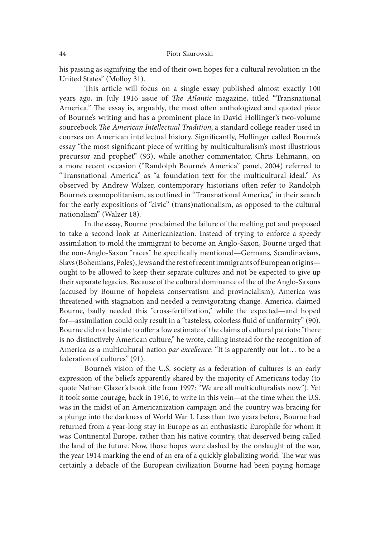his passing as signifying the end of their own hopes for a cultural revolution in the United States" (Molloy 31).

This article will focus on a single essay published almost exactly 100 years ago, in July 1916 issue of The Atlantic magazine, titled "Transnational America." The essay is, arguably, the most often anthologized and quoted piece of Bourne's writing and has a prominent place in David Hollinger's two-volume sourcebook The American Intellectual Tradition, a standard college reader used in courses on American intellectual history. Significantly, Hollinger called Bourne's essay "the most significant piece of writing by multiculturalism's most illustrious precursor and prophet" (93), while another commentator, Chris Lehmann, on a more recent occasion ("Randolph Bourne's America" panel, 2004) referred to "Transnational America" as "a foundation text for the multicultural ideal." As observed by Andrew Walzer, contemporary historians oten refer to Randolph Bourne's cosmopolitanism, as outlined in "Transnational America," in their search for the early expositions of "civic" (trans)nationalism, as opposed to the cultural nationalism" (Walzer 18).

In the essay, Bourne proclaimed the failure of the melting pot and proposed to take a second look at Americanization. Instead of trying to enforce a speedy assimilation to mold the immigrant to become an Anglo-Saxon, Bourne urged that the non-Anglo-Saxon "races" he specifically mentioned—Germans, Scandinavians, Slavs (Bohemians, Poles), Jews and the rest of recent immigrants of European origins ought to be allowed to keep their separate cultures and not be expected to give up their separate legacies. Because of the cultural dominance of the of the Anglo-Saxons (accused by Bourne of hopeless conservatism and provincialism), America was threatened with stagnation and needed a reinvigorating change. America, claimed Bourne, badly needed this "cross-fertilization," while the expected—and hoped for—assimilation could only result in a "tasteless, colorless {uid of uniformity" (90). Bourne did not hesitate to offer a low estimate of the claims of cultural patriots: "there is no distinctively American culture," he wrote, calling instead for the recognition of America as a multicultural nation par excellence: "It is apparently our lot... to be a federation of cultures" (91).

Bourne's vision of the U.S. society as a federation of cultures is an early expression of the beliefs apparently shared by the majority of Americans today (to quote Nathan Glazer's book title from 1997: "We are all multiculturalists now"). Yet it took some courage, back in 1916, to write in this vein—at the time when the U.S. was in the midst of an Americanization campaign and the country was bracing for a plunge into the darkness of World War I. Less than two years before, Bourne had returned from a year-long stay in Europe as an enthusiastic Europhile for whom it was Continental Europe, rather than his native country, that deserved being called the land of the future. Now, those hopes were dashed by the onslaught of the war, the year 1914 marking the end of an era of a quickly globalizing world. The war was certainly a debacle of the European civilization Bourne had been paying homage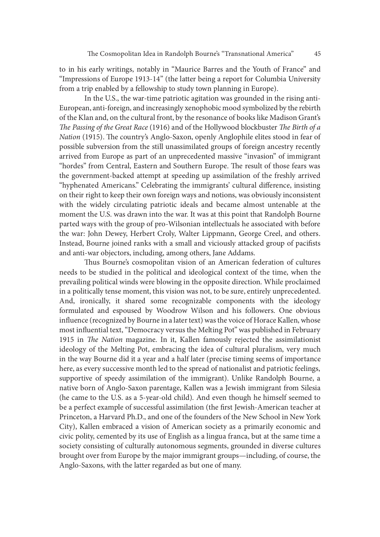to in his early writings, notably in "Maurice Barres and the Youth of France" and "Impressions of Europe 1913-14" (the latter being a report for Columbia University from a trip enabled by a fellowship to study town planning in Europe).

In the U.S., the war-time patriotic agitation was grounded in the rising anti-European, anti-foreign, and increasingly xenophobic mood symbolized by the rebirth of the Klan and, on the cultural front, by the resonance of books like Madison Grant's The Passing of the Great Race (1916) and of the Hollywood blockbuster The Birth of a Nation (1915). The country's Anglo-Saxon, openly Anglophile elites stood in fear of possible subversion from the still unassimilated groups of foreign ancestry recently arrived from Europe as part of an unprecedented massive "invasion" of immigrant "hordes" from Central, Eastern and Southern Europe. The result of those fears was the government-backed attempt at speeding up assimilation of the freshly arrived "hyphenated Americans." Celebrating the immigrants' cultural difference, insisting on their right to keep their own foreign ways and notions, was obviously inconsistent with the widely circulating patriotic ideals and became almost untenable at the moment the U.S. was drawn into the war. It was at this point that Randolph Bourne parted ways with the group of pro-Wilsonian intellectuals he associated with before the war: John Dewey, Herbert Croly, Walter Lippmann, George Creel, and others. Instead, Bourne joined ranks with a small and viciously attacked group of pacifists and anti-war objectors, including, among others, Jane Addams.

Thus Bourne's cosmopolitan vision of an American federation of cultures needs to be studied in the political and ideological context of the time, when the prevailing political winds were blowing in the opposite direction. While proclaimed in a politically tense moment, this vision was not, to be sure, entirely unprecedented. And, ironically, it shared some recognizable components with the ideology formulated and espoused by Woodrow Wilson and his followers. One obvious influence (recognized by Bourne in a later text) was the voice of Horace Kallen, whose most influential text, "Democracy versus the Melting Pot" was published in February 1915 in The Nation magazine. In it, Kallen famously rejected the assimilationist ideology of the Melting Pot, embracing the idea of cultural pluralism, very much in the way Bourne did it a year and a half later (precise timing seems of importance here, as every successive month led to the spread of nationalist and patriotic feelings, supportive of speedy assimilation of the immigrant). Unlike Randolph Bourne, a native born of Anglo-Saxon parentage, Kallen was a Jewish immigrant from Silesia (he came to the U.S. as a 5-year-old child). And even though he himself seemed to be a perfect example of successful assimilation (the first Jewish-American teacher at Princeton, a Harvard Ph.D., and one of the founders of the New School in New York City), Kallen embraced a vision of American society as a primarily economic and civic polity, cemented by its use of English as a lingua franca, but at the same time a society consisting of culturally autonomous segments, grounded in diverse cultures brought over from Europe by the major immigrant groups—including, of course, the Anglo-Saxons, with the latter regarded as but one of many.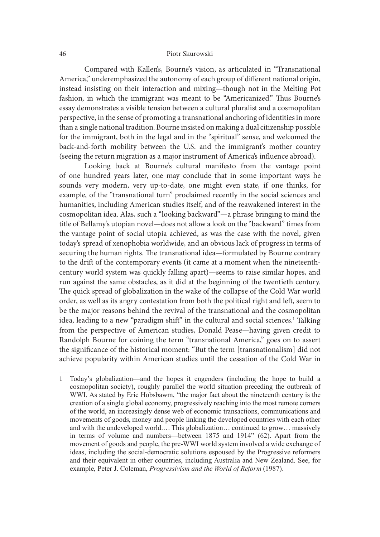Compared with Kallen's, Bourne's vision, as articulated in "Transnational America," underemphasized the autonomy of each group of different national origin, instead insisting on their interaction and mixing—though not in the Melting Pot fashion, in which the immigrant was meant to be "Americanized." Thus Bourne's essay demonstrates a visible tension between a cultural pluralist and a cosmopolitan perspective, in the sense of promoting a transnational anchoring of identities in more than a single national tradition. Bourne insisted on making a dual citizenship possible for the immigrant, both in the legal and in the "spiritual" sense, and welcomed the back-and-forth mobility between the U.S. and the immigrant's mother country (seeing the return migration as a major instrument of America's in{uence abroad).

Looking back at Bourne's cultural manifesto from the vantage point of one hundred years later, one may conclude that in some important ways he sounds very modern, very up-to-date, one might even state, if one thinks, for example, of the "transnational turn" proclaimed recently in the social sciences and humanities, including American studies itself, and of the reawakened interest in the cosmopolitan idea. Alas, such a "looking backward"—a phrase bringing to mind the title of Bellamy's utopian novel—does not allow a look on the "backward" times from the vantage point of social utopia achieved, as was the case with the novel, given today's spread of xenophobia worldwide, and an obvious lack of progress in terms of securing the human rights. The transnational idea—formulated by Bourne contrary to the drit of the contemporary events (it came at a moment when the nineteenthcentury world system was quickly falling apart)—seems to raise similar hopes, and run against the same obstacles, as it did at the beginning of the twentieth century. The quick spread of globalization in the wake of the collapse of the Cold War world order, as well as its angry contestation from both the political right and let, seem to be the major reasons behind the revival of the transnational and the cosmopolitan idea, leading to a new "paradigm shift" in the cultural and social sciences.<sup>1</sup> Talking from the perspective of American studies, Donald Pease—having given credit to Randolph Bourne for coining the term "transnational America," goes on to assert the significance of the historical moment: "But the term [transnationalism] did not achieve popularity within American studies until the cessation of the Cold War in vantage point of social utopia achieved, as was the case with the novel, given<br>ay's spread of xenophobia worldwide, and an obvious lack of progress in terms of<br>turing the human rights. The transnational idea—formulated by

<sup>1</sup> Today's globalization—and the hopes it engenders (including the hope to build a WWI. As stated by Eric Hobsbawm, "the major fact about the nineteenth century is the creation of a single global economy, progressively reaching into the most remote corners of the world, an increasingly dense web of economic transactions, communications and movements of goods, money and people linking the developed countries with each other and with the undeveloped world.... This globalization... continued to grow... massively in terms of volume and numbers—between 1875 and 1914" (62). Apart from the movement of goods and people, the pre-WWI world system involved a wide exchange of ideas, including the social-democratic solutions espoused by the Progressive reformers and their equivalent in other countries, including Australia and New Zealand. See, for example, Peter J. Coleman, *Progressivism and the World of Reform* (1987).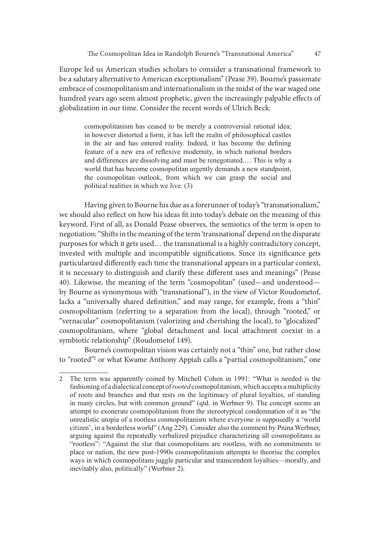Europe led us American studies scholars to consider a transnational framework to be a salutary alternative to American exceptionalism" (Pease 39). Bourne's passionate embrace of cosmopolitanism and internationalism in the midst of the war waged one hundred years ago seem almost prophetic, given the increasingly palpable effects of globalization in our time. Consider the recent words of Ulrich Beck:

cosmopolitanism has ceased to be merely a controversial rational idea; in however distorted a form, it has left the realm of philosophical castles in the air and has entered reality. Indeed, it has become the defining feature of a new era of reflexive modernity, in which national borders and differences are dissolving and must be renegotiated.... This is why a world that has become cosmopolitan urgently demands a new standpoint, The Cosmopolitan Idea in Randolph Bourne's "Transnational America" 47<br>led us American studies scholars to consider a transnational framework to<br>tatary alternative to American exceptionalism" (Pease 39). Bourne's passionate political realities in which we live. (3)

Having given to Bourne his due as a forerunner of today's "transnationalism," we should also reflect on how his ideas fit into today's debate on the meaning of this keyword. First of all, as Donald Pease observes, the semiotics of the term is open to negotiation: "Shits in the meaning of the term 'transnational' depend on the disparate purposes for which it gets used… the transnational is a highly contradictory concept, invested with multiple and incompatible significations. Since its significance gets particularized differently each time the transnational appears in a particular context, it is necessary to distinguish and clarify these different uses and meanings" (Pease 40). Likewise, the meaning of the term "cosmopolitan" (used—and understood by Bourne as synonymous with "transnational"), in the view of Victor Roudometof, lacks a "universally shared definition," and may range, for example, from a "thin" cosmopolitanism (referring to a separation from the local), through "rooted," or "vernacular" cosmopolitanism (valorizing and cherishing the local), to "glocalized" cosmopolitanism, where "global detachment and local attachment coexist in a symbiotic relationship" (Roudometof 149). poses for which it gets used... the transnational is a highly contradictory concept,<br>seads with multiple and incompatible significations. Since its significance gets<br>steed with multiple and incompatible significations. Sin

Bourne's cosmopolitan vision was certainly not a "thin" one, but rather close to "rooted"2 or what Kwame Anthony Appiah calls a "partial cosmopolitanism," one

<sup>2</sup> The term was apparently coined by Mitchell Cohen in 1991: "What is needed is the fashioning of a dialectical concept of *rooted* cosmopolitanism, which accepts a multiplicity of roots and branches and that rests on the legitimacy of plural lovalties, of standing in many circles, but with common ground" (qtd. in Werbner 9). The concept seems an attempt to exonerate cosmopolitanism from the stereotypical condemnation of it as "the unrealistic utopia of a rootless cosmopolitanism where everyone is supposedly a 'world citizen', in a borderless world" (Ang 229). Consider also the comment by Pnina Werbner, arguing against the repeatedly verbalized prejudice characterizing all cosmopolitans as "rootless": "Against the slur that cosmopolitans are rootless, with no commitments to place or nation, the new post-1990s cosmopolitanism attempts to theorise the complex ways in which cosmopolitans juggle particular and transcendent loyalties—morally, and inevitably also, politically" (Werbner 2).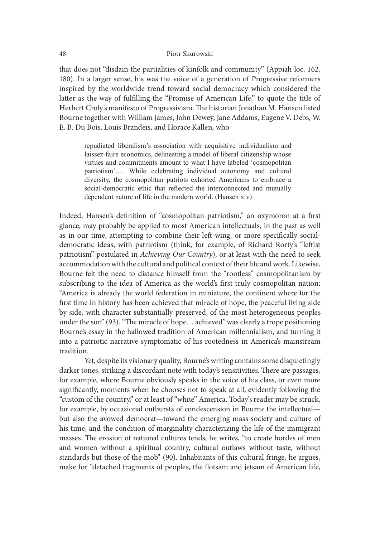that does not "disdain the partialities of kinfolk and community" (Appiah loc. 162, 180). In a larger sense, his was the voice of a generation of Progressive reformers inspired by the worldwide trend toward social democracy which considered the latter as the way of fulfilling the "Promise of American Life," to quote the title of Herbert Croly's manifesto of Progressivism. The historian Jonathan M. Hansen listed Bourne together with William James, John Dewey, Jane Addams, Eugene V. Debs, W. E. B. Du Bois, Louis Brandeis, and Horace Kallen, who Piotr Skurowski<br>
Piotr Skurowski<br>
Show To disdain the partialities of kinfolk and community" (Appiah loc. 162,<br>
a larger sense, his was the voice of a generation of Progressive reformers<br>
by the worldwide trend toward soci

repudiated liberalism's association with acquisitive individualism and laissez-faire economics, delineating a model of liberal citizenship whose virtues and commitments amount to what I have labeled 'cosmopolitan patriotism'.... While celebrating individual autonomy and cultural social-democratic ethic that reflected the interconnected and mutually dependent nature of life in the modern world. (Hansen xiv)

Indeed, Hansen's definition of "cosmopolitan patriotism," an oxymoron at a first glance, may probably be applied to most American intellectuals, in the past as well as in our time, attempting to combine their left-wing, or more specifically socialdemocratic ideas, with patriotism (think, for example, of Richard Rorty's "letist patriotism" postulated in Achieving Our Country), or at least with the need to seek accommodation with the cultural and political context of their life and work. Likewise, Bourne felt the need to distance himself from the "rootless" cosmopolitanism by subscribing to the idea of America as the world's first truly cosmopolitan nation: "America is already the world federation in miniature, the continent where for the first time in history has been achieved that miracle of hope, the peaceful living side by side, with character substantially preserved, of the most heterogeneous peoples under the sun"  $(93)$ . "The miracle of hope... achieved" was clearly a trope positioning Bourne's essay in the hallowed tradition of American millennialism, and turning it into a patriotic narrative symptomatic of his rootedness in America's mainstream tradition.

Yet, despite its visionary quality, Bourne's writing contains some disquietingly darker tones, striking a discordant note with today's sensitivities. There are passages, for example, where Bourne obviously speaks in the voice of his class, or even more significantly, moments when he chooses not to speak at all, evidently following the "custom of the country," or at least of "white" America. Today's reader may be struck, for example, by occasional outbursts of condescension in Bourne the intellectual but also the avowed democrat—toward the emerging mass society and culture of his time, and the condition of marginality characterizing the life of the immigrant masses. The erosion of national cultures tends, he writes, "to create hordes of men and women without a spiritual country, cultural outlaws without taste, without standards but those of the mob" (90). Inhabitants of this cultural fringe, he argues, make for "detached fragments of peoples, the flotsam and jetsam of American life,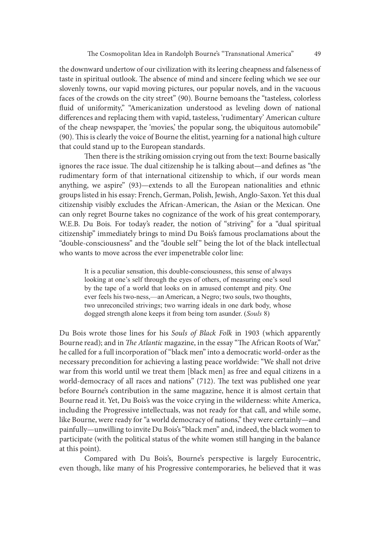the downward undertow of our civilization with its leering cheapness and falseness of taste in spiritual outlook. The absence of mind and sincere feeling which we see our slovenly towns, our vapid moving pictures, our popular novels, and in the vacuous faces of the crowds on the city street" (90). Bourne bemoans the "tasteless, colorless fluid of uniformity," "Americanization understood as leveling down of national differences and replacing them with vapid, tasteless, 'rudimentary' American culture of the cheap newspaper, the 'movies,' the popular song, the ubiquitous automobile"  $(90)$ . This is clearly the voice of Bourne the elitist, yearning for a national high culture that could stand up to the European standards.

Then there is the striking omission crying out from the text: Bourne basically ignores the race issue. The dual citizenship he is talking about—and defines as "the rudimentary form of that international citizenship to which, if our words mean anything, we aspire" (93)—extends to all the European nationalities and ethnic groups listed in his essay: French, German, Polish, Jewish, Anglo-Saxon. Yet this dual citizenship visibly excludes the African-American, the Asian or the Mexican. One can only regret Bourne takes no cognizance of the work of his great contemporary, W.E.B. Du Bois. For today's reader, the notion of "striving" for a "dual spiritual citizenship" immediately brings to mind Du Bois's famous proclamations about the rudimentary form of that international citizenship to which, if our words mean<br>anything, we aspire" (93)—extends to all the European nationalities and ethnic<br>groups listed in his essay: French, German, Polish, Jewish, Angl who wants to move across the ever impenetrable color line:

It is a peculiar sensation, this double-consciousness, this sense of always looking at one's self through the eyes of others, of measuring one's soul by the tape of a world that looks on in amused contempt and pity. One ever feels his two-ness,—an American, a Negro; two souls, two thoughts, two unreconciled strivings; two warring ideals in one dark body, whose dogged strength alone keeps it from being torn asunder. (Souls 8)

Du Bois wrote those lines for his Souls of Black Folk in 1903 (which apparently Bourne read); and in The Atlantic magazine, in the essay "The African Roots of War," he called for a full incorporation of "black men" into a democratic world-order as the necessary precondition for achieving a lasting peace worldwide: "We shall not drive war from this world until we treat them [black men] as free and equal citizens in a world-democracy of all races and nations" (712). The text was published one year before Bourne's contribution in the same magazine, hence it is almost certain that Bourne read it. Yet, Du Bois's was the voice crying in the wilderness: white America, including the Progressive intellectuals, was not ready for that call, and while some, like Bourne, were ready for "a world democracy of nations," they were certainly—and painfully—unwilling to invite Du Bois's "black men" and, indeed, the black women to participate (with the political status of the white women still hanging in the balance at this point).

Compared with Du Bois's, Bourne's perspective is largely Eurocentric, even though, like many of his Progressive contemporaries, he believed that it was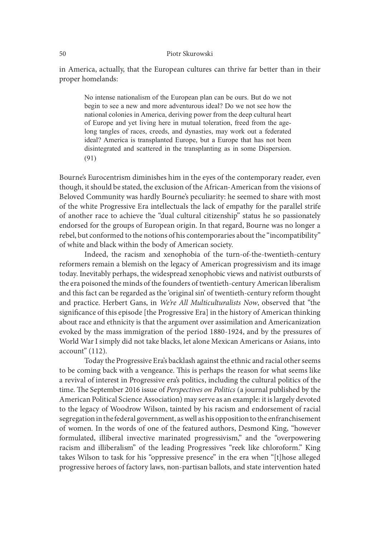in America, actually, that the European cultures can thrive far better than in their proper homelands:

No intense nationalism of the European plan can be ours. But do we not begin to see a new and more adventurous ideal? Do we not see how the national colonies in America, deriving power from the deep cultural heart of Europe and yet living here in mutual toleration, freed from the age-Piotr Skurowski<br>
Fica, actually, that the European cultures can thrive far better than in their<br>
No intense nationalism of the European plan can be ours. But do we not<br>
Negin to see a new and more adventurous ideal? Do we Piotr Skurowski<br>
Frica, actually, that the European cultures can thrive far better than in their<br>
nomelands:<br>
No intense nationalism of the European plan can be ours. But do we not<br>
begin to see a new and more adventurous Plotr Skurowski<br>
Fica, actually, that the European cultures can thrive far better than in their<br>
No intense nationalism of the European plan can be ours. But do we not<br>
begin to see a new and more adventurous ideal? Do we  $(91)$ 

Bourne's Eurocentrism diminishes him in the eyes of the contemporary reader, even though, it should be stated, the exclusion of the African-American from the visions of Beloved Community was hardly Bourne's peculiarity: he seemed to share with most of the white Progressive Era intellectuals the lack of empathy for the parallel strife of another race to achieve the "dual cultural citizenship" status he so passionately endorsed for the groups of European origin. In that regard, Bourne was no longer a rebel, but conformed to the notions of his contemporaries about the "incompatibility" of white and black within the body of American society.

Indeed, the racism and xenophobia of the turn-of-the-twentieth-century reformers remain a blemish on the legacy of American progressivism and its image today. Inevitably perhaps, the widespread xenophobic views and nativist outbursts of the era poisoned the minds of the founders of twentieth-century American liberalism and this fact can be regarded as the 'original sin' of twentieth-century reform thought and practice. Herbert Gans, in We're All Multiculturalists Now, observed that "the significance of this episode [the Progressive Era] in the history of American thinking about race and ethnicity is that the argument over assimilation and Americanization evoked by the mass immigration of the period 1880-1924, and by the pressures of World War I simply did not take blacks, let alone Mexican Americans or Asians, into account" (112).

Today the Progressive Era's backlash against the ethnic and racial other seems to be coming back with a vengeance. This is perhaps the reason for what seems like a revival of interest in Progressive era's politics, including the cultural politics of the time. The September 2016 issue of Perspectives on Politics (a journal published by the American Political Science Association) may serve as an example: it is largely devoted to the legacy of Woodrow Wilson, tainted by his racism and endorsement of racial segregation in the federal government, as well as his opposition to the enfranchisement of women. In the words of one of the featured authors, Desmond King, "however formulated, illiberal invective marinated progressivism," and the "overpowering racism and illiberalism" of the leading Progressives "reek like chloroform." King takes Wilson to task for his "oppressive presence" in the era when "[t]hose alleged progressive heroes of factory laws, non-partisan ballots, and state intervention hated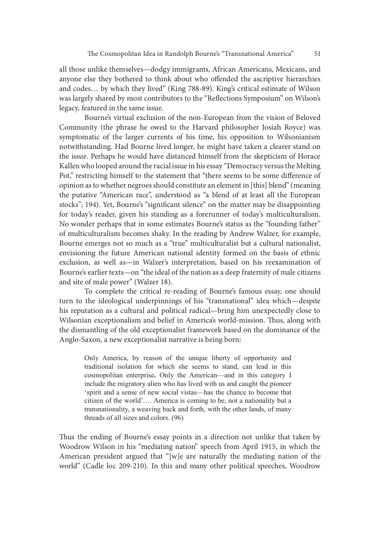all those unlike themselves—dodgy immigrants, African Americans, Mexicans, and anyone else they bothered to think about who offended the ascriptive hierarchies and codes… by which they lived" (King 788-89). King's critical estimate of Wilson was largely shared by most contributors to the "Reflections Symposium" on Wilson's legacy, featured in the same issue.

Bourne's virtual exclusion of the non-European from the vision of Beloved Community (the phrase he owed to the Harvard philosopher Josiah Royce) was symptomatic of the larger currents of his time, his opposition to Wilsonianism notwithstanding. Had Bourne lived longer, he might have taken a clearer stand on the issue. Perhaps he would have distanced himself from the skepticism of Horace Kallen who looped around the racial issue in his essay "Democracy versus the Melting Pot," restricting himself to the statement that "there seems to be some difference of opinion as to whether negroes should constitute an element in [this] blend" (meaning the putative "American race", understood as "a blend of at least all the European stocks"; 194). Yet, Bourne's "significant silence" on the matter may be disappointing for today's reader, given his standing as a forerunner of today's multiculturalism. No wonder perhaps that in some estimates Bourne's status as the "founding father" of multiculturalism becomes shaky. In the reading by Andrew Walzer, for example, Bourne emerges not so much as a "true" multiculturalist but a cultural nationalist, envisioning the future American national identity formed on the basis of ethnic exclusion, as well as—in Walzer's interpretation, based on his reexamination of Bourne's earlier texts—on "the ideal of the nation as a deep fraternity of male citizens and site of male power" (Walzer 18). 194). Yet, Bourne's "significant silence" on the matter may be disappointing y's reader, given his standing as a forerunner of today's multiculturalism.<br>
clutturalism is one estimates Bournes' status as the "founding fathe y's reader, given his standing as a forerunner of today's multiculturalism.<br>der perhaps that in some estimates Bourne's status as the "founding father"<br>culturalism becomes shaty. In the reading by Andrew Walzer, for exampl

To complete the critical re-reading of Bourne's famous essay, one should turn to the ideological underpinnings of his "transnational" idea which—despite his reputation as a cultural and political radical—bring him unexpectedly close to Wilsonian exceptionalism and belief in America's world-mission. Thus, along with the dismantling of the old exceptionalist framework based on the dominance of the Anglo-Saxon, a new exceptionalist narrative is being born:

cosmopolitan enterprise. Only the American—and in this category I include the migratory alien who has lived with us and caught the pioneer 'spirit and a sense of new social vistas—has the chance to become that citizen of the world'.... America is coming to be, not a nationality but a transnationality, a weaving back and forth, with the other lands, of many threads of all sizes and colors.  $(96)$ 

Thus the ending of Bourne's essay points in a direction not unlike that taken by Woodrow Wilson in his "mediating nation" speech from April 1915, in which the American president argued that "[w]e are naturally the mediating nation of the world" (Cadle loc 209-210). In this and many other political speeches, Woodrow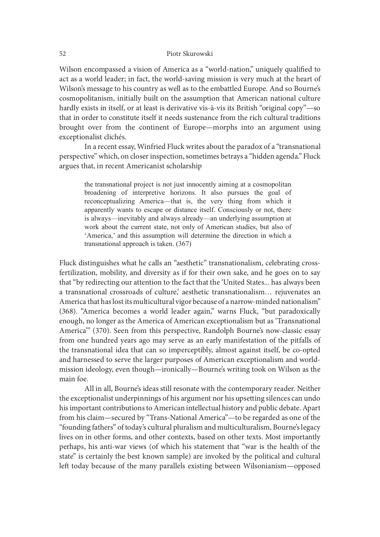Wilson encompassed a vision of America as a "world-nation," uniquely qualified to act as a world leader; in fact, the world-saving mission is very much at the heart of Wilson's message to his country as well as to the embattled Europe. And so Bourne's cosmopolitanism, initially built on the assumption that American national culture hardly exists in itself, or at least is derivative vis-à-vis its British "original copy"—so that in order to constitute itself it needs sustenance from the rich cultural traditions brought over from the continent of Europe—morphs into an argument using exceptionalist clichés. encompassed a vision of America as a "world-nation", uniquely qualited to wordl eleader; in fact, the world-saving mission is very much at the heart of message to his country as well as to the embattled Europe. And so Bour

In a recent essay, Winfried Fluck writes about the paradox of a "transnational perspective" which, on closer inspection, sometimes betrays a "hidden agenda." Fluck argues that, in recent Americanist scholarship

the transnational project is not just innocently aiming at a cosmopolitan broadening of interpretive horizons. It also pursues the goal of reconceptualizing America—that is, the very thing from which it apparently wants to escape or distance itself. Consciously or not, there is always—inevitably and always already—an underlying assumption at 'America,' and this assumption will determine the direction in which a transnational approach is taken. (367)

Fluck distinguishes what he calls an "aesthetic" transnationalism, celebrating crossfertilization, mobility, and diversity as if for their own sake, and he goes on to say that "by redirecting our attention to the fact that the 'United States... has always been a transnational crossroads of culture,' aesthetic transnationalism… rejuvenates an America that has lost its multicultural vigor because of a narrow-minded nationalism" (368). "America becomes a world leader again," warns Fluck, "but paradoxically enough, no longer as the America of American exceptionalism but as 'Transnational America'" (370). Seen from this perspective, Randolph Bourne's now-classic essay from one hundred years ago may serve as an early manifestation of the pitfalls of the transnational idea that can so imperceptibly, almost against itself, be co-opted and harnessed to serve the larger purposes of American exceptionalism and worldmission ideology, even though—ironically—Bourne's writing took on Wilson as the main foe.

All in all, Bourne's ideas still resonate with the contemporary reader. Neither the exceptionalist underpinnings of his argument nor his upsetting silences can undo his important contributions to American intellectual history and public debate. Apart from his claim—secured by "Trans-National America"—to be regarded as one of the "founding fathers" of today's cultural pluralism and multiculturalism, Bourne's legacy lives on in other forms, and other contexts, based on other texts. Most importantly perhaps, his anti-war views (of which his statement that "war is the health of the state" is certainly the best known sample) are invoked by the political and cultural left today because of the many parallels existing between Wilsonianism—opposed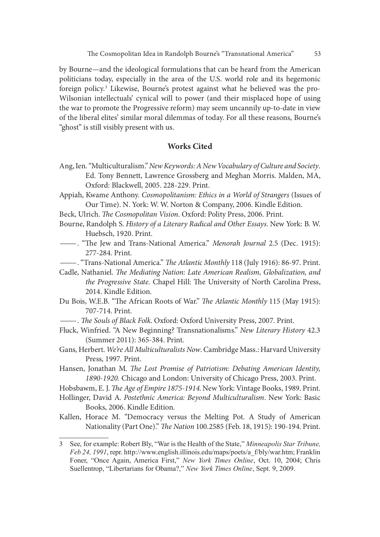by Bourne—and the ideological formulations that can be heard from the American politicians today, especially in the area of the U.S. world role and its hegemonic foreign policy.3 Likewise, Bourne's protest against what he believed was the pro-Wilsonian intellectuals' cynical will to power (and their misplaced hope of using the war to promote the Progressive reform) may seem uncannily up-to-date in view of the liberal elites' similar moral dilemmas of today. For all these reasons, Bourne's "ghost" is still visibly present with us.

### Works Cited

- Ang, Ien. "Multiculturalism." New Keywords: A New Vocabulary of Culture and Society. Ed. Tony Bennett, Lawrence Grossberg and Meghan Morris. Malden, MA, Oxford: Blackwell, 2005. 228-229. Print.
- Appiah, Kwame Anthony. Cosmopolitanism: Ethics in a World of Strangers (Issues of Our Time). N. York: W. W. Norton & Company, 2006. Kindle Edition.
- Beck, Ulrich. The Cosmopolitan Vision. Oxford: Polity Press, 2006. Print.
- Bourne, Randolph S. History of a Literary Radical and Other Essays. New York: B. W.
- Huebsch, 1920. Print.<br>
Find Trans-National America." *Menorah Journal* 2.5 (Dec. 1915):<br>
277-284. Print.
- <sup>22</sup> "Trans-National America." The Atlantic Monthly 118 (July 1916): 86-97. Print.
- Cadle, Nathaniel. The Mediating Nation: Late American Realism, Globalization, and the Progressive State. Chapel Hill: The University of North Carolina Press, 2014. Kindle Edition.
- Du Bois, W.E.B. "The African Roots of War." The Atlantic Monthly 115 (May 1915): 707-714. Print.<br>- The Souls of Black Folk. Oxford: Oxford University Press, 2007. Print.
- 
- Fluck, Winfried. "A New Beginning? Transnationalisms." New Literary History 42.3 (Summer 2011): 365-384. Print.
- Gans, Herbert. We're All Multiculturalists Now. Cambridge Mass.: Harvard University Press, 1997. Print.
- Hansen, Jonathan M. The Lost Promise of Patriotism: Debating American Identity, 1890-1920. Chicago and London: University of Chicago Press, 2003. Print.
- Hobsbawm, E. J. The Age of Empire 1875-1914. New York: Vintage Books, 1989. Print.
- Hollinger, David A. Postethnic America: Beyond Multiculturalism. New York: Basic Books, 2006. Kindle Edition.
- Kallen, Horace M. "Democracy versus the Melting Pot. A Study of American Nationality (Part One)." The Nation 100.2585 (Feb. 18, 1915): 190-194. Print.

<sup>3</sup> See, for example: Robert Bly, "War is the Health of the State," *Minneapolis Star Tribune*, Feb 24, 1991, repr. http://www.english.illinois.edu/maps/poets/a\_f/bly/war.htm; Franklin Foner, "Once Again, America First," New York Times Online, Oct. 10, 2004; Chris Fore, "The Yand Roots of Wall, The Tandate enothily 115 (1948) 1717, 1867, Winfried, "A New Beginning? Translationalisms," New Literary History 42.3 (Summer 2011): 365-384. Print.<br>
(Summer 2011): 365-384. Print.<br>
(Summer 2 Suellentrop, "Libertarians for Obama?," New York Times Online, Sept. 9, 2009.